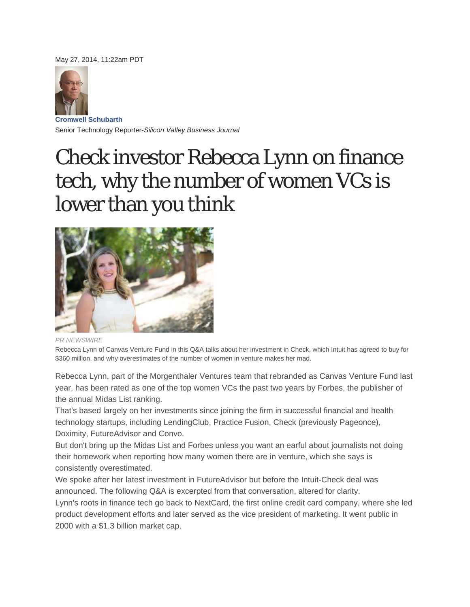May 27, 2014, 11:22am PDT



**Cromwell Schubarth** Senior Technology Reporter-*Silicon Valley Business Journal*

# Check investor Rebecca Lynn on finance tech, why the number of women VCs is lower than you think



*PR NEWSWIRE* 

Rebecca Lynn of Canvas Venture Fund in this Q&A talks about her investment in Check, which Intuit has agreed to buy for \$360 million, and why overestimates of the number of women in venture makes her mad.

Rebecca Lynn, part of the Morgenthaler Ventures team that rebranded as Canvas Venture Fund last year, has been rated as one of the top women VCs the past two years by Forbes, the publisher of the annual Midas List ranking.

That's based largely on her investments since joining the firm in successful financial and health technology startups, including LendingClub, Practice Fusion, Check (previously Pageonce), Doximity, FutureAdvisor and Convo.

But don't bring up the Midas List and Forbes unless you want an earful about journalists not doing their homework when reporting how many women there are in venture, which she says is consistently overestimated.

We spoke after her latest investment in FutureAdvisor but before the Intuit-Check deal was announced. The following Q&A is excerpted from that conversation, altered for clarity. Lynn's roots in finance tech go back to NextCard, the first online credit card company, where she led product development efforts and later served as the vice president of marketing. It went public in 2000 with a \$1.3 billion market cap.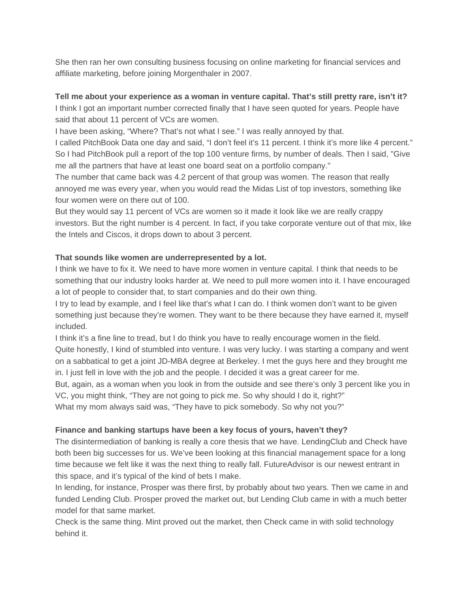She then ran her own consulting business focusing on online marketing for financial services and affiliate marketing, before joining Morgenthaler in 2007.

## **Tell me about your experience as a woman in venture capital. That's still pretty rare, isn't it?**

I think I got an important number corrected finally that I have seen quoted for years. People have said that about 11 percent of VCs are women.

I have been asking, "Where? That's not what I see." I was really annoyed by that.

I called PitchBook Data one day and said, "I don't feel it's 11 percent. I think it's more like 4 percent." So I had PitchBook pull a report of the top 100 venture firms, by number of deals. Then I said, "Give me all the partners that have at least one board seat on a portfolio company."

The number that came back was 4.2 percent of that group was women. The reason that really annoyed me was every year, when you would read the Midas List of top investors, something like four women were on there out of 100.

But they would say 11 percent of VCs are women so it made it look like we are really crappy investors. But the right number is 4 percent. In fact, if you take corporate venture out of that mix, like the Intels and Ciscos, it drops down to about 3 percent.

## **That sounds like women are underrepresented by a lot.**

I think we have to fix it. We need to have more women in venture capital. I think that needs to be something that our industry looks harder at. We need to pull more women into it. I have encouraged a lot of people to consider that, to start companies and do their own thing.

I try to lead by example, and I feel like that's what I can do. I think women don't want to be given something just because they're women. They want to be there because they have earned it, myself included.

I think it's a fine line to tread, but I do think you have to really encourage women in the field. Quite honestly, I kind of stumbled into venture. I was very lucky. I was starting a company and went on a sabbatical to get a joint JD-MBA degree at Berkeley. I met the guys here and they brought me in. I just fell in love with the job and the people. I decided it was a great career for me.

But, again, as a woman when you look in from the outside and see there's only 3 percent like you in VC, you might think, "They are not going to pick me. So why should I do it, right?"

What my mom always said was, "They have to pick somebody. So why not you?"

## **Finance and banking startups have been a key focus of yours, haven't they?**

The disintermediation of banking is really a core thesis that we have. LendingClub and Check have both been big successes for us. We've been looking at this financial management space for a long time because we felt like it was the next thing to really fall. FutureAdvisor is our newest entrant in this space, and it's typical of the kind of bets I make.

In lending, for instance, Prosper was there first, by probably about two years. Then we came in and funded Lending Club. Prosper proved the market out, but Lending Club came in with a much better model for that same market.

Check is the same thing. Mint proved out the market, then Check came in with solid technology behind it.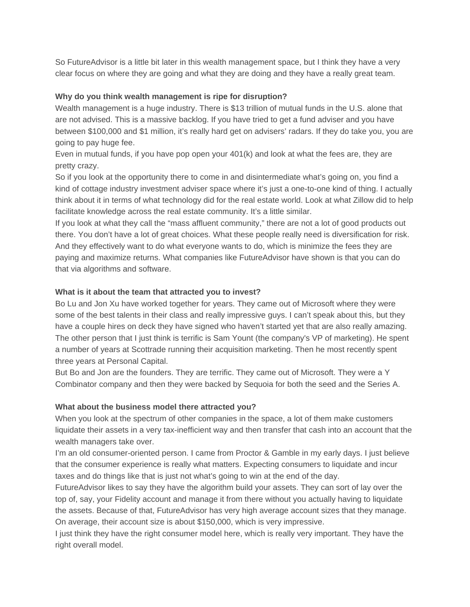So FutureAdvisor is a little bit later in this wealth management space, but I think they have a very clear focus on where they are going and what they are doing and they have a really great team.

## **Why do you think wealth management is ripe for disruption?**

Wealth management is a huge industry. There is \$13 trillion of mutual funds in the U.S. alone that are not advised. This is a massive backlog. If you have tried to get a fund adviser and you have between \$100,000 and \$1 million, it's really hard get on advisers' radars. If they do take you, you are going to pay huge fee.

Even in mutual funds, if you have pop open your 401(k) and look at what the fees are, they are pretty crazy.

So if you look at the opportunity there to come in and disintermediate what's going on, you find a kind of cottage industry investment adviser space where it's just a one-to-one kind of thing. I actually think about it in terms of what technology did for the real estate world. Look at what Zillow did to help facilitate knowledge across the real estate community. It's a little similar.

If you look at what they call the "mass affluent community," there are not a lot of good products out there. You don't have a lot of great choices. What these people really need is diversification for risk. And they effectively want to do what everyone wants to do, which is minimize the fees they are paying and maximize returns. What companies like FutureAdvisor have shown is that you can do that via algorithms and software.

#### **What is it about the team that attracted you to invest?**

Bo Lu and Jon Xu have worked together for years. They came out of Microsoft where they were some of the best talents in their class and really impressive guys. I can't speak about this, but they have a couple hires on deck they have signed who haven't started yet that are also really amazing. The other person that I just think is terrific is Sam Yount (the company's VP of marketing). He spent a number of years at Scottrade running their acquisition marketing. Then he most recently spent three years at Personal Capital.

But Bo and Jon are the founders. They are terrific. They came out of Microsoft. They were a Y Combinator company and then they were backed by Sequoia for both the seed and the Series A.

#### **What about the business model there attracted you?**

When you look at the spectrum of other companies in the space, a lot of them make customers liquidate their assets in a very tax-inefficient way and then transfer that cash into an account that the wealth managers take over.

I'm an old consumer-oriented person. I came from Proctor & Gamble in my early days. I just believe that the consumer experience is really what matters. Expecting consumers to liquidate and incur taxes and do things like that is just not what's going to win at the end of the day.

FutureAdvisor likes to say they have the algorithm build your assets. They can sort of lay over the top of, say, your Fidelity account and manage it from there without you actually having to liquidate the assets. Because of that, FutureAdvisor has very high average account sizes that they manage. On average, their account size is about \$150,000, which is very impressive.

I just think they have the right consumer model here, which is really very important. They have the right overall model.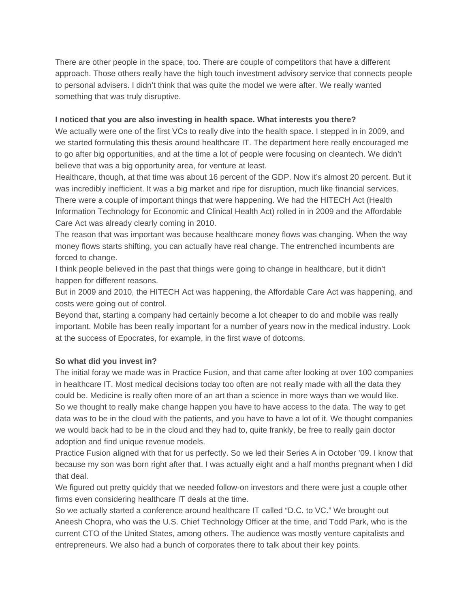There are other people in the space, too. There are couple of competitors that have a different approach. Those others really have the high touch investment advisory service that connects people to personal advisers. I didn't think that was quite the model we were after. We really wanted something that was truly disruptive.

### **I noticed that you are also investing in health space. What interests you there?**

We actually were one of the first VCs to really dive into the health space. I stepped in in 2009, and we started formulating this thesis around healthcare IT. The department here really encouraged me to go after big opportunities, and at the time a lot of people were focusing on cleantech. We didn't believe that was a big opportunity area, for venture at least.

Healthcare, though, at that time was about 16 percent of the GDP. Now it's almost 20 percent. But it was incredibly inefficient. It was a big market and ripe for disruption, much like financial services. There were a couple of important things that were happening. We had the HITECH Act (Health Information Technology for Economic and Clinical Health Act) rolled in in 2009 and the Affordable Care Act was already clearly coming in 2010.

The reason that was important was because healthcare money flows was changing. When the way money flows starts shifting, you can actually have real change. The entrenched incumbents are forced to change.

I think people believed in the past that things were going to change in healthcare, but it didn't happen for different reasons.

But in 2009 and 2010, the HITECH Act was happening, the Affordable Care Act was happening, and costs were going out of control.

Beyond that, starting a company had certainly become a lot cheaper to do and mobile was really important. Mobile has been really important for a number of years now in the medical industry. Look at the success of Epocrates, for example, in the first wave of dotcoms.

## **So what did you invest in?**

The initial foray we made was in Practice Fusion, and that came after looking at over 100 companies in healthcare IT. Most medical decisions today too often are not really made with all the data they could be. Medicine is really often more of an art than a science in more ways than we would like. So we thought to really make change happen you have to have access to the data. The way to get data was to be in the cloud with the patients, and you have to have a lot of it. We thought companies we would back had to be in the cloud and they had to, quite frankly, be free to really gain doctor adoption and find unique revenue models.

Practice Fusion aligned with that for us perfectly. So we led their Series A in October '09. I know that because my son was born right after that. I was actually eight and a half months pregnant when I did that deal.

We figured out pretty quickly that we needed follow-on investors and there were just a couple other firms even considering healthcare IT deals at the time.

So we actually started a conference around healthcare IT called "D.C. to VC." We brought out Aneesh Chopra, who was the U.S. Chief Technology Officer at the time, and Todd Park, who is the current CTO of the United States, among others. The audience was mostly venture capitalists and entrepreneurs. We also had a bunch of corporates there to talk about their key points.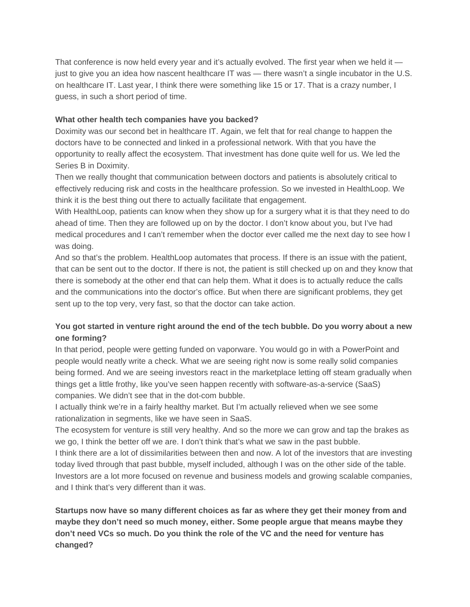That conference is now held every year and it's actually evolved. The first year when we held it just to give you an idea how nascent healthcare IT was — there wasn't a single incubator in the U.S. on healthcare IT. Last year, I think there were something like 15 or 17. That is a crazy number, I guess, in such a short period of time.

## **What other health tech companies have you backed?**

Doximity was our second bet in healthcare IT. Again, we felt that for real change to happen the doctors have to be connected and linked in a professional network. With that you have the opportunity to really affect the ecosystem. That investment has done quite well for us. We led the Series B in Doximity.

Then we really thought that communication between doctors and patients is absolutely critical to effectively reducing risk and costs in the healthcare profession. So we invested in HealthLoop. We think it is the best thing out there to actually facilitate that engagement.

With HealthLoop, patients can know when they show up for a surgery what it is that they need to do ahead of time. Then they are followed up on by the doctor. I don't know about you, but I've had medical procedures and I can't remember when the doctor ever called me the next day to see how I was doing.

And so that's the problem. HealthLoop automates that process. If there is an issue with the patient, that can be sent out to the doctor. If there is not, the patient is still checked up on and they know that there is somebody at the other end that can help them. What it does is to actually reduce the calls and the communications into the doctor's office. But when there are significant problems, they get sent up to the top very, very fast, so that the doctor can take action.

## **You got started in venture right around the end of the tech bubble. Do you worry about a new one forming?**

In that period, people were getting funded on vaporware. You would go in with a PowerPoint and people would neatly write a check. What we are seeing right now is some really solid companies being formed. And we are seeing investors react in the marketplace letting off steam gradually when things get a little frothy, like you've seen happen recently with software-as-a-service (SaaS) companies. We didn't see that in the dot-com bubble.

I actually think we're in a fairly healthy market. But I'm actually relieved when we see some rationalization in segments, like we have seen in SaaS.

The ecosystem for venture is still very healthy. And so the more we can grow and tap the brakes as we go, I think the better off we are. I don't think that's what we saw in the past bubble.

I think there are a lot of dissimilarities between then and now. A lot of the investors that are investing today lived through that past bubble, myself included, although I was on the other side of the table. Investors are a lot more focused on revenue and business models and growing scalable companies, and I think that's very different than it was.

**Startups now have so many different choices as far as where they get their money from and maybe they don't need so much money, either. Some people argue that means maybe they don't need VCs so much. Do you think the role of the VC and the need for venture has changed?**